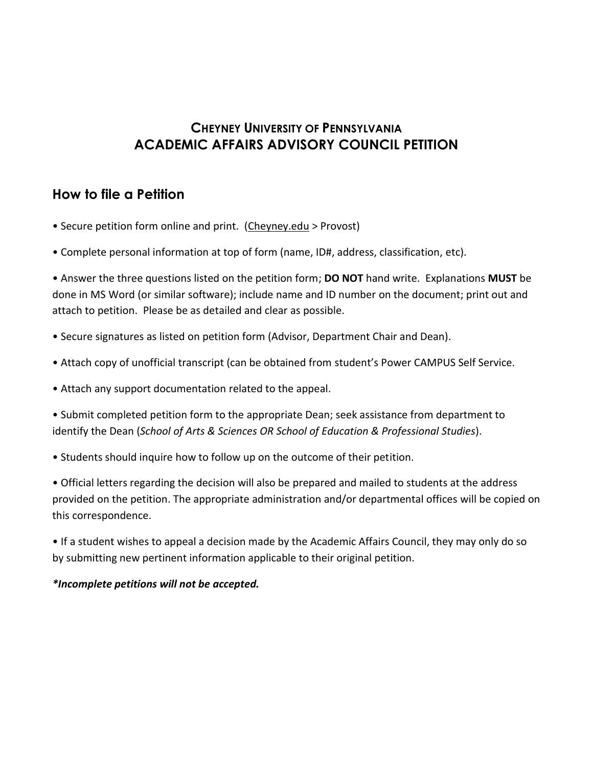## **CHEYNEY UNIVERSITY OF PENNSYLVANIA ACADEMIC AFFAIRS ADVISORY COUNCIL PETITION**

### **How to file a Petition**

- Secure petition form online and print. (Cheyney.edu > Provost)
- Complete personal information at top of form (name, ID#, address, classification, etc).

• Answer the three questions listed on the petition form; **DO NOT** hand write. Explanations **MUST** be done in MS Word (or similar software); include name and ID number on the document; print out and attach to petition. Please be as detailed and clear as possible.

- Secure signatures as listed on petition form (Advisor, Department Chair and Dean).
- Attach copy of unofficial transcript (can be obtained from student's Power CAMPUS Self Service.
- Attach any support documentation related to the appeal.

• Submit completed petition form to the appropriate Dean; seek assistance from department to identify the Dean (*School of Arts & Sciences OR School of Education & Professional Studies*).

• Students should inquire how to follow up on the outcome of their petition.

• Official letters regarding the decision will also be prepared and mailed to students at the address provided on the petition. The appropriate administration and/or departmental offices will be copied on this correspondence.

• If a student wishes to appeal a decision made by the Academic Affairs Council, they may only do so by submitting new pertinent information applicable to their original petition.

#### *\*Incomplete petitions will not be accepted.*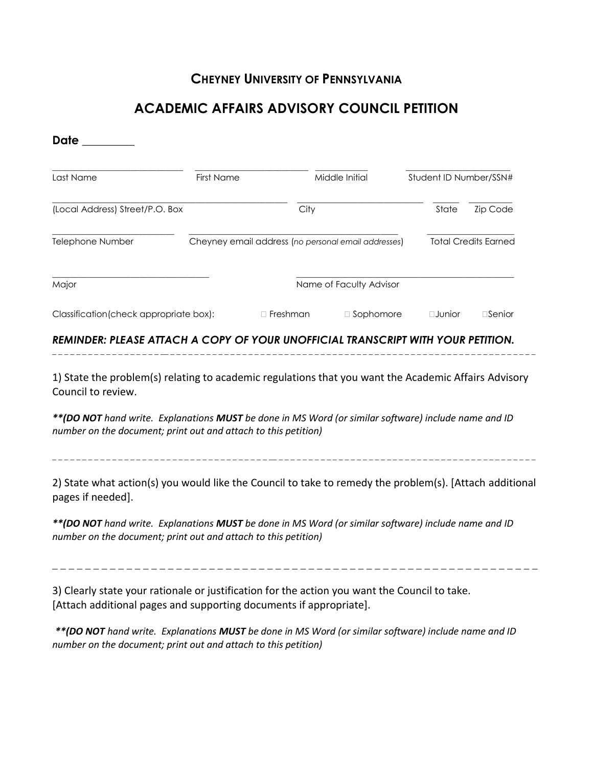### **CHEYNEY UNIVERSITY OF PENNSYLVANIA**

# **ACADEMIC AFFAIRS ADVISORY COUNCIL PETITION**

| Date                                                                                                                                                                                          |                   |                                                     |                         |                        |                             |  |
|-----------------------------------------------------------------------------------------------------------------------------------------------------------------------------------------------|-------------------|-----------------------------------------------------|-------------------------|------------------------|-----------------------------|--|
| Last Name                                                                                                                                                                                     | <b>First Name</b> |                                                     | Middle Initial          | Student ID Number/SSN# |                             |  |
| (Local Address) Street/P.O. Box                                                                                                                                                               |                   | City                                                |                         | State                  | Zip Code                    |  |
| Telephone Number                                                                                                                                                                              |                   | Cheyney email address (no personal email addresses) |                         |                        | <b>Total Credits Earned</b> |  |
| Major                                                                                                                                                                                         |                   |                                                     | Name of Faculty Advisor |                        |                             |  |
| Classification (check appropriate box):                                                                                                                                                       |                   | $\Box$ Freshman                                     | □ Sophomore             | $\square$ Junior       | $\square$ Senior            |  |
| REMINDER: PLEASE ATTACH A COPY OF YOUR UNOFFICIAL TRANSCRIPT WITH YOUR PETITION.                                                                                                              |                   |                                                     |                         |                        |                             |  |
| Council to review.<br>** (DO NOT hand write. Explanations MUST be done in MS Word (or similar software) include name and ID<br>number on the document; print out and attach to this petition) |                   |                                                     |                         |                        |                             |  |
| 2) State what action(s) you would like the Council to take to remedy the problem(s). [Attach additional<br>pages if needed].                                                                  |                   |                                                     |                         |                        |                             |  |
| ** (DO NOT hand write. Explanations MUST be done in MS Word (or similar software) include name and ID<br>number on the document; print out and attach to this petition)                       |                   |                                                     |                         |                        |                             |  |
| 3) Clearly state your rationale or justification for the action you want the Council to take.<br>[Attach additional pages and supporting documents if appropriate].                           |                   |                                                     |                         |                        |                             |  |
| ** (DO NOT hand write. Explanations MUST be done in MS Word (or similar software) include name and ID                                                                                         |                   |                                                     |                         |                        |                             |  |

*number on the document; print out and attach to this petition)*